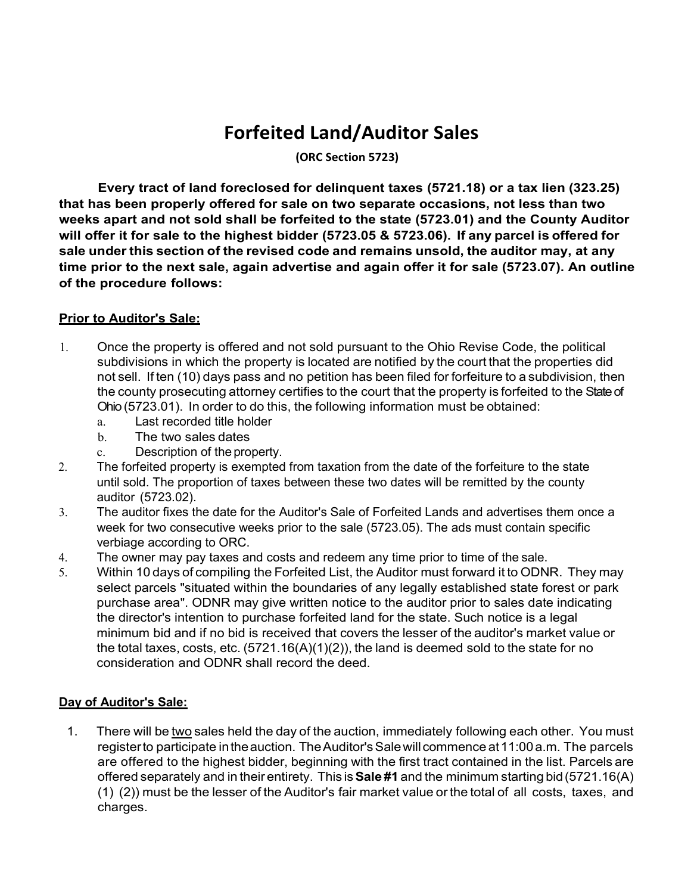## **Forfeited Land/Auditor Sales**

**(ORC Section 5723)**

**Every tract of land foreclosed for delinquent taxes (5721.18) or a tax lien (323.25) that has been properly offered for sale on two separate occasions, not less than two weeks apart and not sold shall be forfeited to the state (5723.01) and the County Auditor will offer it for sale to the highest bidder (5723.05 & 5723.06). If any parcel is offered for sale under this section of the revised code and remains unsold, the auditor may, at any time prior to the next sale, again advertise and again offer it for sale (5723.07). An outline of the procedure follows:**

## **Prior to Auditor's Sale:**

- 1. Once the property is offered and not sold pursuant to the Ohio Revise Code, the political subdivisions in which the property is located are notified by the court that the properties did not sell. If ten (10) days pass and no petition has been filed for forfeiture to a subdivision, then the county prosecuting attorney certifies to the court that the property is forfeited to the State of Ohio (5723.01). In order to do this, the following information must be obtained:
	- a. Last recorded title holder
	- b. The two sales dates
	- c. Description of the property.
- 2. The forfeited property is exempted from taxation from the date of the forfeiture to the state until sold. The proportion of taxes between these two dates will be remitted by the county auditor (5723.02).
- 3. The auditor fixes the date for the Auditor's Sale of Forfeited Lands and advertises them once a week for two consecutive weeks prior to the sale (5723.05). The ads must contain specific verbiage according to ORC.
- 4. The owner may pay taxes and costs and redeem any time prior to time of the sale.
- 5. Within 10 days of compiling the Forfeited List, the Auditor must forward it to ODNR. They may select parcels "situated within the boundaries of any legally established state forest or park purchase area". ODNR may give written notice to the auditor prior to sales date indicating the director's intention to purchase forfeited land for the state. Such notice is a legal minimum bid and if no bid is received that covers the lesser of the auditor's market value or the total taxes, costs, etc.  $(5721.16(A)(1)(2))$ , the land is deemed sold to the state for no consideration and ODNR shall record the deed.

## **Day of Auditor's Sale:**

1. There will be two sales held the day of the auction, immediately following each other. You must registerto participate intheauction. TheAuditor'sSalewillcommence at11:00a.m. The parcels are offered to the highest bidder, beginning with the first tract contained in the list. Parcels are offered separately and in their entirety. This is**Sale #1** and the minimum starting bid(5721.16(A) (1) (2)) must be the lesser of the Auditor's fair market value orthe total of all costs, taxes, and charges.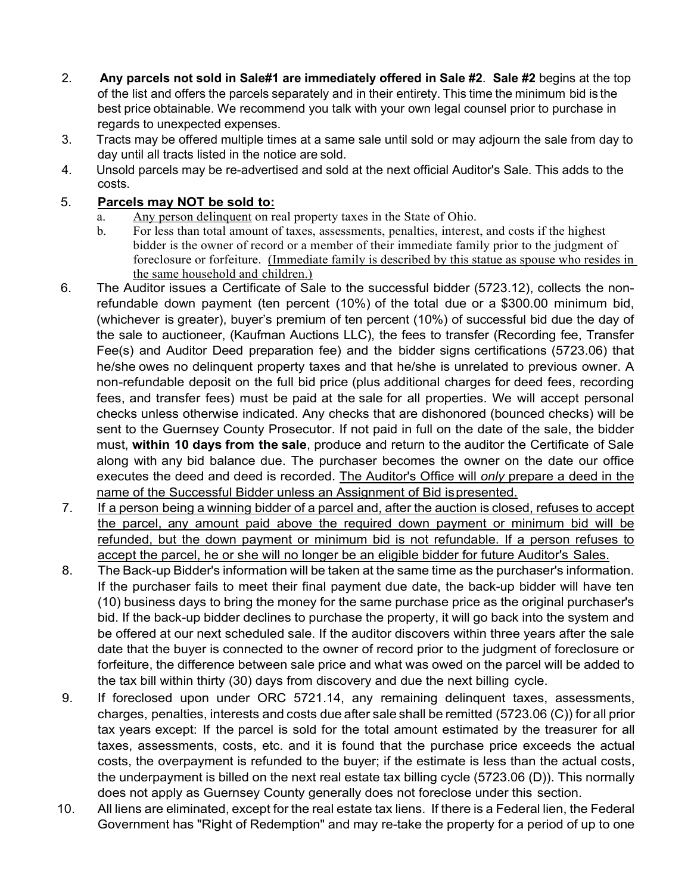- 2. **Any parcels not sold in Sale#1 are immediately offered in Sale #2**. **Sale #2** begins at the top of the list and offers the parcels separately and in their entirety. This time the minimum bid is the best price obtainable. We recommend you talk with your own legal counsel prior to purchase in regards to unexpected expenses.
- 3. Tracts may be offered multiple times at a same sale until sold or may adjourn the sale from day to day until all tracts listed in the notice are sold.
- 4. Unsold parcels may be re-advertised and sold at the next official Auditor's Sale. This adds to the costs.

## 5. **Parcels may NOT be sold to:**

- a. Any person delinquent on real property taxes in the State of Ohio.
- b. For less than total amount of taxes, assessments, penalties, interest, and costs if the highest bidder is the owner of record or a member of their immediate family prior to the judgment of foreclosure or forfeiture. (Immediate family is described by this statue as spouse who resides in the same household and children.)
- 6. The Auditor issues a Certificate of Sale to the successful bidder (5723.12), collects the nonrefundable down payment (ten percent (10%) of the total due or a \$300.00 minimum bid, (whichever is greater), buyer's premium of ten percent (10%) of successful bid due the day of the sale to auctioneer, (Kaufman Auctions LLC), the fees to transfer (Recording fee, Transfer Fee(s) and Auditor Deed preparation fee) and the bidder signs certifications (5723.06) that he/she owes no delinquent property taxes and that he/she is unrelated to previous owner. A non-refundable deposit on the full bid price (plus additional charges for deed fees, recording fees, and transfer fees) must be paid at the sale for all properties. We will accept personal checks unless otherwise indicated. Any checks that are dishonored (bounced checks) will be sent to the Guernsey County Prosecutor. If not paid in full on the date of the sale, the bidder must, **within 10 days from the sale**, produce and return to the auditor the Certificate of Sale along with any bid balance due. The purchaser becomes the owner on the date our office executes the deed and deed is recorded. The Auditor's Office will *only* prepare a deed in the name of the Successful Bidder unless an Assignment of Bid ispresented.
- 7. If a person being a winning bidder of a parcel and, after the auction is closed, refuses to accept the parcel, any amount paid above the required down payment or minimum bid will be refunded, but the down payment or minimum bid is not refundable. If a person refuses to accept the parcel, he or she will no longer be an eligible bidder for future Auditor's Sales.
- 8. The Back-up Bidder's information will be taken at the same time as the purchaser's information. If the purchaser fails to meet their final payment due date, the back-up bidder will have ten (10) business days to bring the money for the same purchase price as the original purchaser's bid. If the back-up bidder declines to purchase the property, it will go back into the system and be offered at our next scheduled sale. If the auditor discovers within three years after the sale date that the buyer is connected to the owner of record prior to the judgment of foreclosure or forfeiture, the difference between sale price and what was owed on the parcel will be added to the tax bill within thirty (30) days from discovery and due the next billing cycle.
- 9. If foreclosed upon under ORC 5721.14, any remaining delinquent taxes, assessments, charges, penalties, interests and costs due after sale shall be remitted (5723.06 (C)) for all prior tax years except: If the parcel is sold for the total amount estimated by the treasurer for all taxes, assessments, costs, etc. and it is found that the purchase price exceeds the actual costs, the overpayment is refunded to the buyer; if the estimate is less than the actual costs, the underpayment is billed on the next real estate tax billing cycle (5723.06 (D)). This normally does not apply as Guernsey County generally does not foreclose under this section.
- 10. All liens are eliminated, except for the real estate tax liens. If there is a Federal lien, the Federal Government has "Right of Redemption" and may re-take the property for a period of up to one